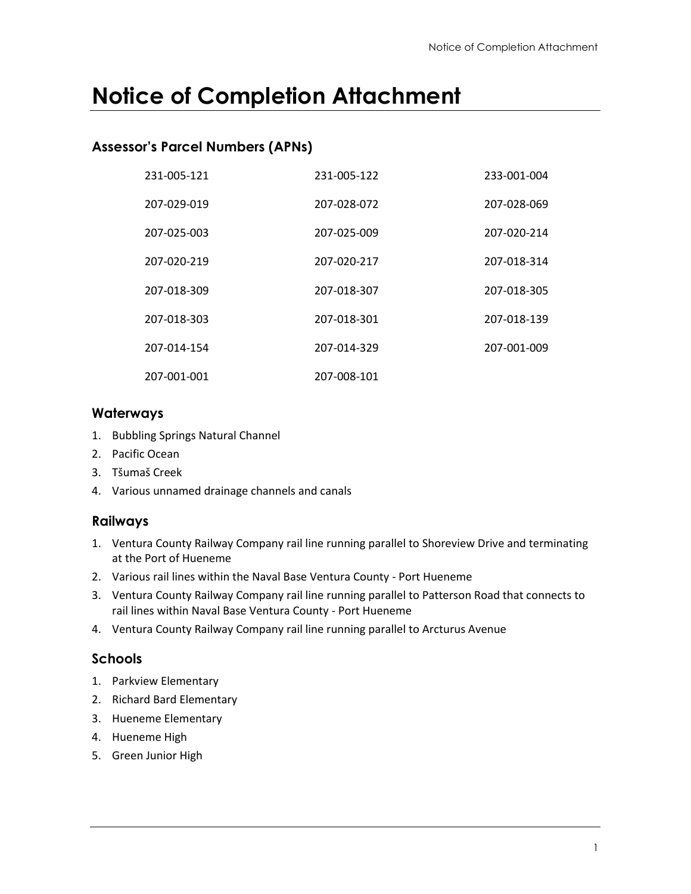# **Notice of Completion Attachment**

### **Assessor's Parcel Numbers (APNs)**

| 231-005-121 | 231-005-122 | 233-001-004 |
|-------------|-------------|-------------|
| 207-029-019 | 207-028-072 | 207-028-069 |
| 207-025-003 | 207-025-009 | 207-020-214 |
| 207-020-219 | 207-020-217 | 207-018-314 |
| 207-018-309 | 207-018-307 | 207-018-305 |
| 207-018-303 | 207-018-301 | 207-018-139 |
| 207-014-154 | 207-014-329 | 207-001-009 |
| 207-001-001 | 207-008-101 |             |

#### **Waterways**

- 1. Bubbling Springs Natural Channel
- 2. Pacific Ocean
- 3. Tšumaš Creek
- 4. Various unnamed drainage channels and canals

#### **Railways**

- 1. Ventura County Railway Company rail line running parallel to Shoreview Drive and terminating at the Port of Hueneme
- 2. Various rail lines within the Naval Base Ventura County Port Hueneme
- 3. Ventura County Railway Company rail line running parallel to Patterson Road that connects to rail lines within Naval Base Ventura County - Port Hueneme
- 4. Ventura County Railway Company rail line running parallel to Arcturus Avenue

## **Schools**

- 1. Parkview Elementary
- 2. Richard Bard Elementary
- 3. Hueneme Elementary
- 4. Hueneme High
- 5. Green Junior High